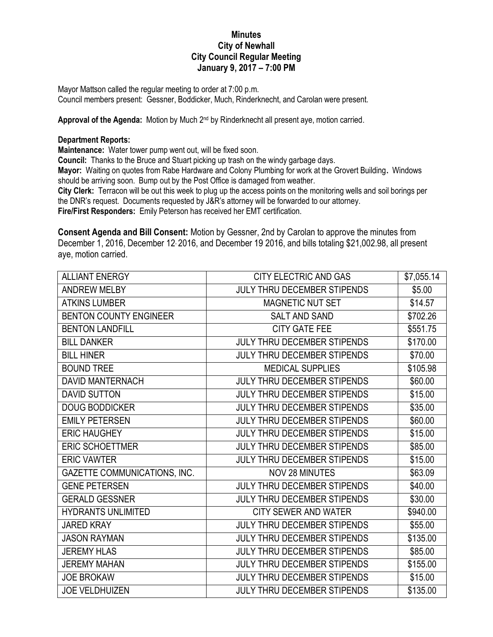## **Minutes City of Newhall City Council Regular Meeting January 9, 2017 – 7:00 PM**

Mayor Mattson called the regular meeting to order at 7:00 p.m. Council members present: Gessner, Boddicker, Much, Rinderknecht, and Carolan were present.

Approval of the Agenda: Motion by Much 2<sup>nd</sup> by Rinderknecht all present aye, motion carried.

## **Department Reports:**

**Maintenance:** Water tower pump went out, will be fixed soon.

**Council:** Thanks to the Bruce and Stuart picking up trash on the windy garbage days.

**Mayor:** Waiting on quotes from Rabe Hardware and Colony Plumbing for work at the Grovert Building**.** Windows should be arriving soon. Bump out by the Post Office is damaged from weather.

**City Clerk:** Terracon will be out this week to plug up the access points on the monitoring wells and soil borings per the DNR's request. Documents requested by J&R's attorney will be forwarded to our attorney.

**Fire/First Responders:** Emily Peterson has received her EMT certification.

**Consent Agenda and Bill Consent:** Motion by Gessner, 2nd by Carolan to approve the minutes from December 1, 2016, December 12, 2016, and December 19 2016, and bills totaling \$21,002.98, all present aye, motion carried.

| <b>ALLIANT ENERGY</b>               | CITY ELECTRIC AND GAS              | \$7,055.14 |
|-------------------------------------|------------------------------------|------------|
| <b>ANDREW MELBY</b>                 | JULY THRU DECEMBER STIPENDS        | \$5.00     |
| <b>ATKINS LUMBER</b>                | <b>MAGNETIC NUT SET</b>            | \$14.57    |
| <b>BENTON COUNTY ENGINEER</b>       | <b>SALT AND SAND</b>               | \$702.26   |
| <b>BENTON LANDFILL</b>              | <b>CITY GATE FEE</b>               | \$551.75   |
| <b>BILL DANKER</b>                  | <b>JULY THRU DECEMBER STIPENDS</b> | \$170.00   |
| <b>BILL HINER</b>                   | JULY THRU DECEMBER STIPENDS        | \$70.00    |
| <b>BOUND TREE</b>                   | <b>MEDICAL SUPPLIES</b>            | \$105.98   |
| <b>DAVID MANTERNACH</b>             | <b>JULY THRU DECEMBER STIPENDS</b> | \$60.00    |
| <b>DAVID SUTTON</b>                 | <b>JULY THRU DECEMBER STIPENDS</b> | \$15.00    |
| <b>DOUG BODDICKER</b>               | <b>JULY THRU DECEMBER STIPENDS</b> | \$35.00    |
| <b>EMILY PETERSEN</b>               | <b>JULY THRU DECEMBER STIPENDS</b> | \$60.00    |
| <b>ERIC HAUGHEY</b>                 | <b>JULY THRU DECEMBER STIPENDS</b> | \$15.00    |
| <b>ERIC SCHOETTMER</b>              | <b>JULY THRU DECEMBER STIPENDS</b> | \$85.00    |
| <b>ERIC VAWTER</b>                  | <b>JULY THRU DECEMBER STIPENDS</b> | \$15.00    |
| <b>GAZETTE COMMUNICATIONS, INC.</b> | <b>NOV 28 MINUTES</b>              | \$63.09    |
| <b>GENE PETERSEN</b>                | <b>JULY THRU DECEMBER STIPENDS</b> | \$40.00    |
| <b>GERALD GESSNER</b>               | JULY THRU DECEMBER STIPENDS        | \$30.00    |
| <b>HYDRANTS UNLIMITED</b>           | <b>CITY SEWER AND WATER</b>        | \$940.00   |
| <b>JARED KRAY</b>                   | JULY THRU DECEMBER STIPENDS        | \$55.00    |
| <b>JASON RAYMAN</b>                 | <b>JULY THRU DECEMBER STIPENDS</b> | \$135.00   |
| <b>JEREMY HLAS</b>                  | JULY THRU DECEMBER STIPENDS        | \$85.00    |
| <b>JEREMY MAHAN</b>                 | JULY THRU DECEMBER STIPENDS        | \$155.00   |
| <b>JOE BROKAW</b>                   | <b>JULY THRU DECEMBER STIPENDS</b> | \$15.00    |
| <b>JOE VELDHUIZEN</b>               | <b>JULY THRU DECEMBER STIPENDS</b> | \$135.00   |